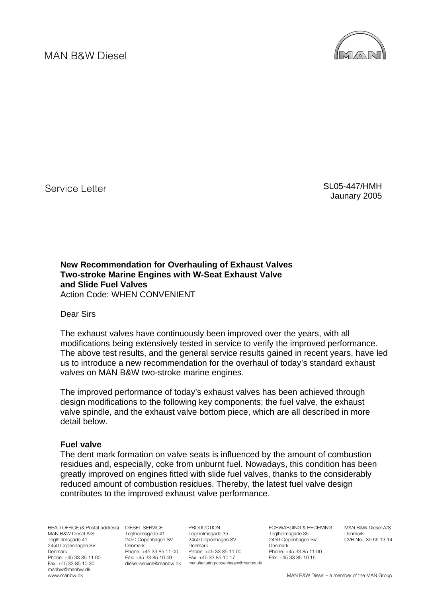

Service Letter

 SL05-447/HMH Jaunary 2005

**New Recommendation for Overhauling of Exhaust Valves Two-stroke Marine Engines with W-Seat Exhaust Valve and Slide Fuel Valves**  Action Code: WHEN CONVENIENT

Dear Sirs

The exhaust valves have continuously been improved over the years, with all modifications being extensively tested in service to verify the improved performance. The above test results, and the general service results gained in recent years, have led us to introduce a new recommendation for the overhaul of today's standard exhaust valves on MAN B&W two-stroke marine engines.

The improved performance of today's exhaust valves has been achieved through design modifications to the following key components; the fuel valve, the exhaust valve spindle, and the exhaust valve bottom piece, which are all described in more detail below.

## **Fuel valve**

The dent mark formation on valve seats is influenced by the amount of combustion residues and, especially, coke from unburnt fuel. Nowadays, this condition has been greatly improved on engines fitted with slide fuel valves, thanks to the considerably reduced amount of combustion residues. Thereby, the latest fuel valve design contributes to the improved exhaust valve performance.

HEAD OFFICE (& Postal address) DIESEL SERVICE MAN B&W Diesel A/S Teglholmsgade 41 2450 Copenhagen SV Denmark Phone: +45 33 85 11 00 Fax: +45 33 85 10 30 manbw@manbw.dk www.manbw.dk

Teglholmsgade 41 2450 Copenhagen SV **Denmark** Phone: +45 33 85 11 00 Fax: +45 33 85 10 49 diesel-service@manbw.dk manufacturing/copenhagen@manbw.dk

PRODUCTION Teglholmsgade 35 2450 Copenhagen SV **Denmark** Phone: +45 33 85 11 00 Fax: +45 33 85 10 17

FORWARDING & RECEIVING Teglholmsgade 35 2450 Copenhagen SV Denmark Phone: +45 33 85 11 00 Fax: +45 33 85 10 16

MAN B&W Diesel A/S Denmark CVR.No.: 39 66 13 14